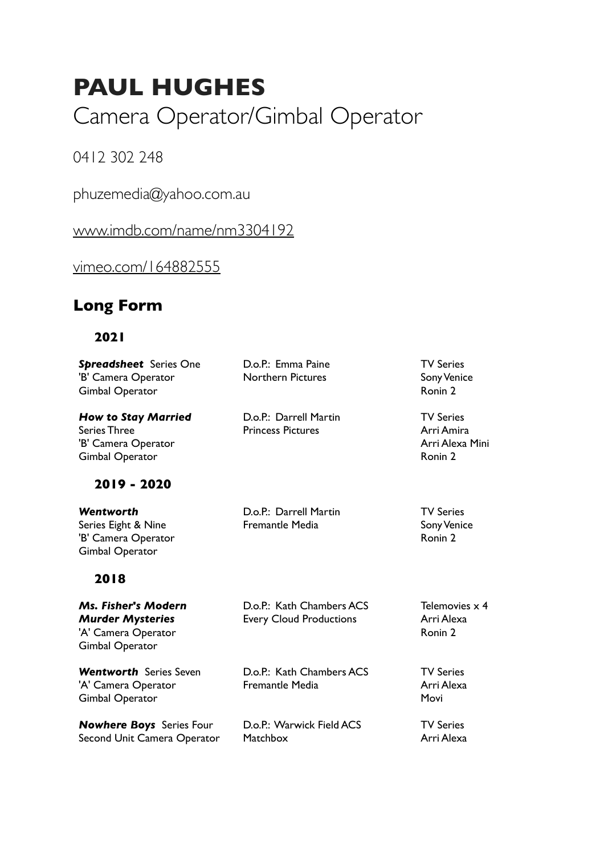# **PAUL HUGHES**

Camera Operator/Gimbal Operator

0412 302 248

phuzemedia@yahoo.com.au

[www.imdb.com/name/nm3304192](http://www.imdb.com/name/nm3304192)

[vimeo.com/164882555](http://vimeo.com/164882555)

# **Long Form**

#### **2021**

| Spreadsheet Series One<br>'B' Camera Operator<br>Gimbal Operator                         | D.o.P.: Emma Paine<br><b>Northern Pictures</b>              | <b>TV Series</b><br>Sony Venice<br>Ronin 2                              |
|------------------------------------------------------------------------------------------|-------------------------------------------------------------|-------------------------------------------------------------------------|
| <b>How to Stay Married</b><br>Series Three<br>'B' Camera Operator<br>Gimbal Operator     | D.o.P.: Darrell Martin<br><b>Princess Pictures</b>          | <b>TV Series</b><br>Arri Amira<br>Arri Alexa Mini<br>Ronin <sub>2</sub> |
| 2019 - 2020                                                                              |                                                             |                                                                         |
| Wentworth<br>Series Eight & Nine<br>'B' Camera Operator<br><b>Gimbal Operator</b>        | D.o.P.: Darrell Martin<br><b>Fremantle Media</b>            | <b>TV Series</b><br>Sony Venice<br>Ronin 2                              |
| 2018                                                                                     |                                                             |                                                                         |
| Ms. Fisher's Modern<br><b>Murder Mysteries</b><br>'A' Camera Operator<br>Gimbal Operator | D.o.P.: Kath Chambers ACS<br><b>Every Cloud Productions</b> | Telemovies $\times$ 4<br>Arri Alexa<br>Ronin 2                          |
| <b>Wentworth</b> Series Seven<br>'A' Camera Operator<br><b>Gimbal Operator</b>           | D.o.P.: Kath Chambers ACS<br><b>Fremantle Media</b>         | <b>TV Series</b><br>Arri Alexa<br>Movi                                  |
| <b>Nowhere Boys</b> Series Four<br>Second Unit Camera Operator                           | D.o.P.: Warwick Field ACS<br>Matchbox                       | <b>TV Series</b><br>Arri Alexa                                          |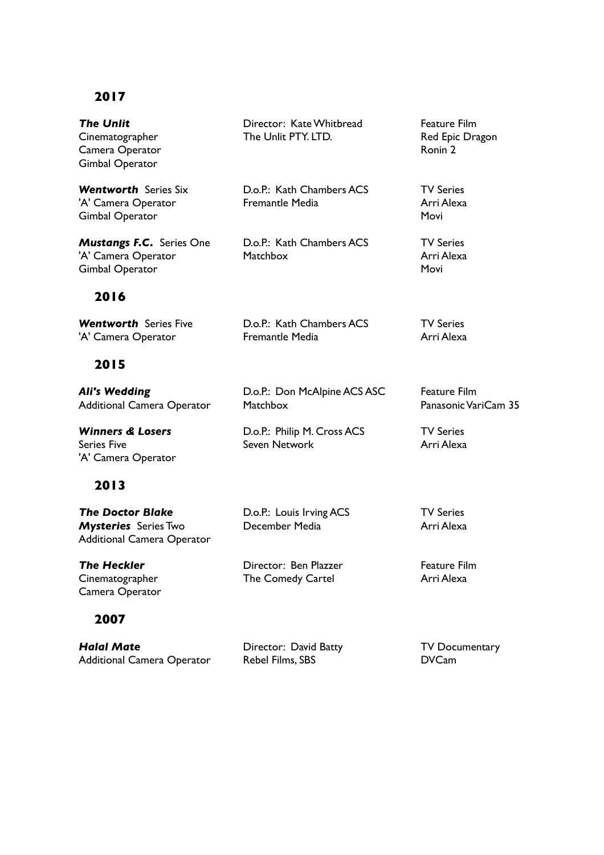## **2017**

| <b>The Unlit</b><br>Cinematographer<br>Camera Operator<br><b>Gimbal Operator</b>            | Director: Kate Whitbread<br>The Unlit PTY, LTD.     | <b>Feature Film</b><br>Red Epic Dragon<br>Ronin 2 |
|---------------------------------------------------------------------------------------------|-----------------------------------------------------|---------------------------------------------------|
| <b>Wentworth Series Six</b><br>'A' Camera Operator<br><b>Gimbal Operator</b>                | D.o.P.: Kath Chambers ACS<br><b>Fremantle Media</b> | <b>TV Series</b><br>Arri Alexa<br>Movi            |
| <b>Mustangs F.C.</b> Series One<br>'A' Camera Operator<br><b>Gimbal Operator</b>            | D.o.P.: Kath Chambers ACS<br><b>Matchbox</b>        | <b>TV Series</b><br>Arri Alexa<br>Movi            |
| 2016                                                                                        |                                                     |                                                   |
| <b>Wentworth Series Five</b><br>'A' Camera Operator                                         | D.o.P.: Kath Chambers ACS<br><b>Fremantle Media</b> | <b>TV Series</b><br>Arri Alexa                    |
| 2015                                                                                        |                                                     |                                                   |
| <b>Ali's Wedding</b><br><b>Additional Camera Operator</b>                                   | D.o.P.: Don McAlpine ACS ASC<br>Matchbox            | <b>Feature Film</b><br>Panasonic VariCam 35       |
| <b>Winners &amp; Losers</b><br><b>Series Five</b><br>'A' Camera Operator                    | D.o.P.: Philip M. Cross ACS<br>Seven Network        | <b>TV Series</b><br>Arri Alexa                    |
| 2013                                                                                        |                                                     |                                                   |
| <b>The Doctor Blake</b><br><b>Mysteries</b> Series Two<br><b>Additional Camera Operator</b> | D.o.P.: Louis Irving ACS<br>December Media          | <b>TV Series</b><br>Arri Alexa                    |
| <b>The Heckler</b><br>Cinematographer<br>Camera Operator                                    | Director: Ben Plazzer<br>The Comedy Cartel          | <b>Feature Film</b><br>Arri Alexa                 |

## **2007**

| <b>Halal Mate</b>                 | Director: David Batty | <b>TV Documentary</b> |
|-----------------------------------|-----------------------|-----------------------|
| <b>Additional Camera Operator</b> | Rebel Films, SBS      | <b>DVCam</b>          |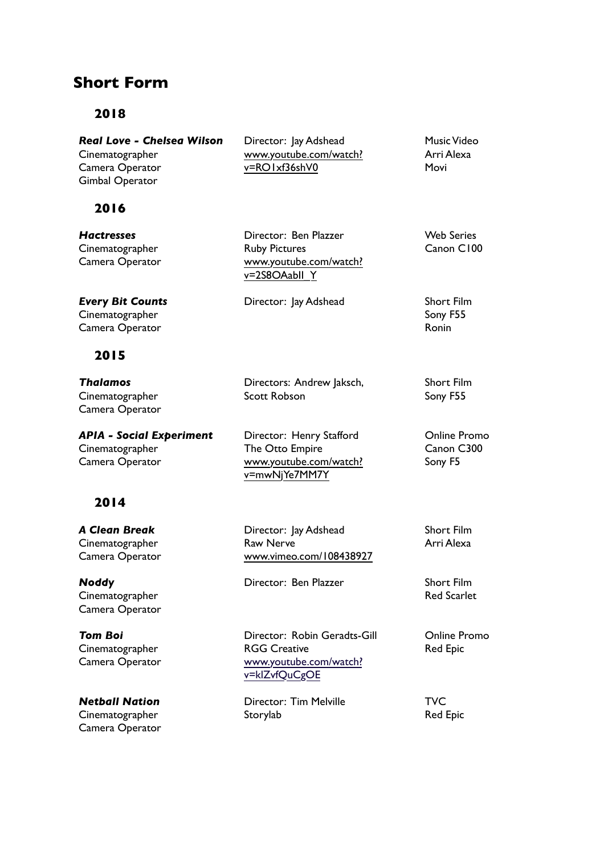## **Short Form**

#### **2018**

*Real Love - Chelsea Wilson* Cinematographer Camera Operator Gimbal Operator

#### **2016**

*Hactresses* **Cinematographer** Camera Operator

*Every Bit Counts* Cinematographer Camera Operator

#### **2015**

*Thalamos* **Cinematographer** Camera Operator

*APIA - Social Experiment* Cinematographer Camera Operator

#### **2014**

*A Clean Break* Cinematographer Camera Operator

*Noddy* **Cinematographer** Camera Operator

*Tom Boi* **Cinematographer** Camera Operator

*Netball Nation* Cinematographer Camera Operator Director: Jay Adshead [www.youtube.com/watch?](http://www.youtube.com/watch?v=RO1xf36shV0) [v=RO1xf36shV0](http://www.youtube.com/watch?v=RO1xf36shV0)

Director: Ben Plazzer Ruby Pictures [www.youtube.com/watch?](http://www.youtube.com/watch?v=2S8OAabII_Y) [v=2S8OAabII\\_Y](http://www.youtube.com/watch?v=2S8OAabII_Y)

Director: Jay Adshead Short Film

Directors: Andrew Jaksch, Scott Robson

Director: Henry Stafford The Otto Empire [www.youtube.com/watch?](http://www.youtube.com/watch?v=mwNjYe7MM7Y) [v=mwNjYe7MM7Y](http://www.youtube.com/watch?v=mwNjYe7MM7Y)

Director: lay Adshead Raw Nerve [www.vimeo.com/108438927](https://vimeo.com/108438927)

Director: Ben Plazzer Short Film

Director: Robin Geradts-Gill RGG Creative [www.youtube.com/watch?](https://www.youtube.com/watch?v=klZvfQuCgOE) [v=k](https://www.youtube.com/watch?v=klZvfQuCgOE)lZvfQuCgOE

Director: Tim Melville Storylab

Music Video Arri Alexa Movi

Web Series Canon C100

Sony F55 Ronin

Short Film Sony F55

Online Promo Canon C300 Sony F5

Short Film Arri Alexa

Red Scarlet

Online Promo Red Epic

**TVC** Red Epic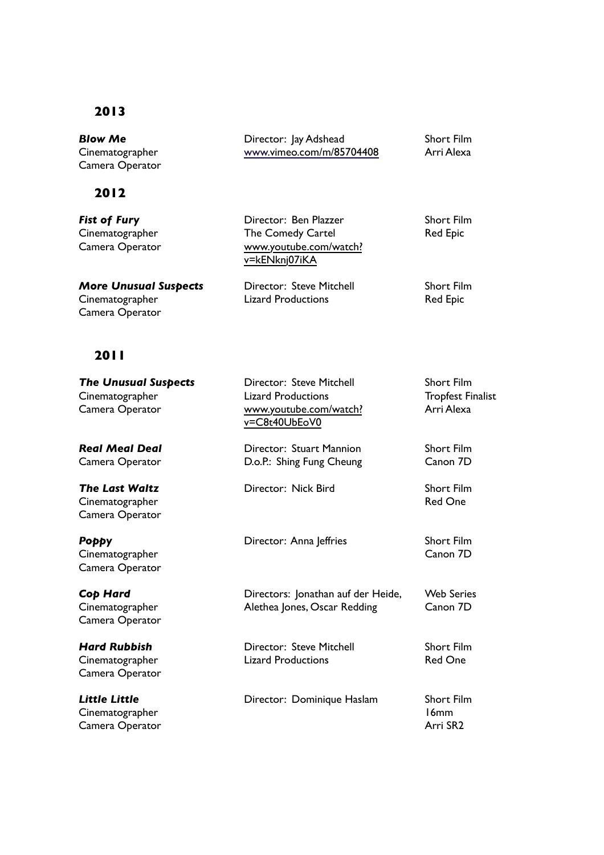#### **2013**

*Blow Me* Cinematographer Camera Operator

#### **2012**

*Fist of Fury* Cinematographer Camera Operator

**Cinematographer** Camera Operator

*More Unusual Suspects*

Director: Jay Adshead [www.](https://www.youtube.com/watch?v=klZvfQuCgOE)[vimeo.com/m/85704408](http://vimeo.com/m/85704408) Short Film Arri Alexa

Director: Ben Plazzer The Comedy Cartel [www.youtube.com/watch?](https://www.youtube.com/watch?v=kENknj07iKA) [v=kENknj07iKA](https://www.youtube.com/watch?v=kENknj07iKA)

Director: Steve Mitchell Lizard Productions

Short Film Red Epic

Short Film Red Epic

#### **2011**

| <b>The Unusual Suspects</b><br>Cinematographer<br>Camera Operator | Director: Steve Mitchell<br><b>Lizard Productions</b><br>www.youtube.com/watch?<br>v=C8t40UbEoV0 | <b>Short Film</b><br><b>Tropfest Finalist</b><br>Arri Alexa |
|-------------------------------------------------------------------|--------------------------------------------------------------------------------------------------|-------------------------------------------------------------|
| <b>Real Meal Deal</b><br>Camera Operator                          | Director: Stuart Mannion<br>D.o.P.: Shing Fung Cheung                                            | <b>Short Film</b><br>Canon 7D                               |
| <b>The Last Waltz</b><br>Cinematographer<br>Camera Operator       | Director: Nick Bird                                                                              | <b>Short Film</b><br><b>Red One</b>                         |
| Рорру<br>Cinematographer<br>Camera Operator                       | Director: Anna Jeffries                                                                          | <b>Short Film</b><br>Canon 7D                               |
| Cop Hard<br>Cinematographer<br>Camera Operator                    | Directors: Jonathan auf der Heide,<br>Alethea Jones, Oscar Redding                               | <b>Web Series</b><br>Canon 7D                               |
| <b>Hard Rubbish</b><br>Cinematographer<br>Camera Operator         | Director: Steve Mitchell<br><b>Lizard Productions</b>                                            | <b>Short Film</b><br><b>Red One</b>                         |
| <b>Little Little</b><br>Cinematographer<br>Camera Operator        | Director: Dominique Haslam                                                                       | <b>Short Film</b><br>16mm<br>Arri SR2                       |